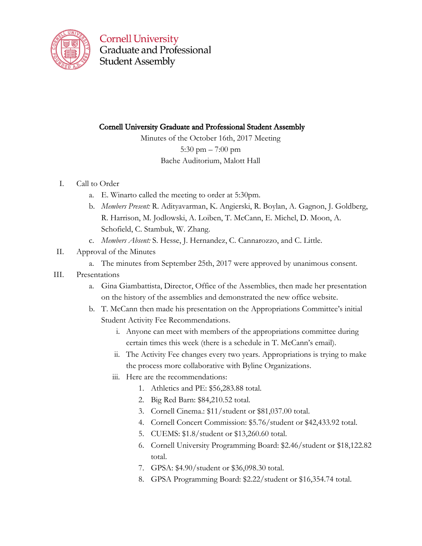

**Cornell University Graduate and Professional Student Assembly** 

# Cornell University Graduate and Professional Student Assembly

Minutes of the October 16th, 2017 Meeting 5:30 pm – 7:00 pm Bache Auditorium, Malott Hall

# I. Call to Order

- a. E. Winarto called the meeting to order at 5:30pm.
- b. *Members Present:* R. Adityavarman, K. Angierski, R. Boylan, A. Gagnon, J. Goldberg, R. Harrison, M. Jodlowski, A. Loiben, T. McCann, E. Michel, D. Moon, A. Schofield, C. Stambuk, W. Zhang.
- c. *Members Absent:* S. Hesse, J. Hernandez, C. Cannarozzo, and C. Little.
- II. Approval of the Minutes
	- a. The minutes from September 25th, 2017 were approved by unanimous consent.
- III. Presentations
	- a. Gina Giambattista, Director, Office of the Assemblies, then made her presentation on the history of the assemblies and demonstrated the new office website.
	- b. T. McCann then made his presentation on the Appropriations Committee's initial Student Activity Fee Recommendations.
		- i. Anyone can meet with members of the appropriations committee during certain times this week (there is a schedule in T. McCann's email).
		- ii. The Activity Fee changes every two years. Appropriations is trying to make the process more collaborative with Byline Organizations.
		- iii. Here are the recommendations:
			- 1. Athletics and PE: \$56,283.88 total.
			- 2. Big Red Barn: \$84,210.52 total.
			- 3. Cornell Cinema.: \$11/student or \$81,037.00 total.
			- 4. Cornell Concert Commission: \$5.76/student or \$42,433.92 total.
			- 5. CUEMS: \$1.8/student or \$13,260.60 total.
			- 6. Cornell University Programming Board: \$2.46/student or \$18,122.82 total.
			- 7. GPSA: \$4.90/student or \$36,098.30 total.
			- 8. GPSA Programming Board: \$2.22/student or \$16,354.74 total.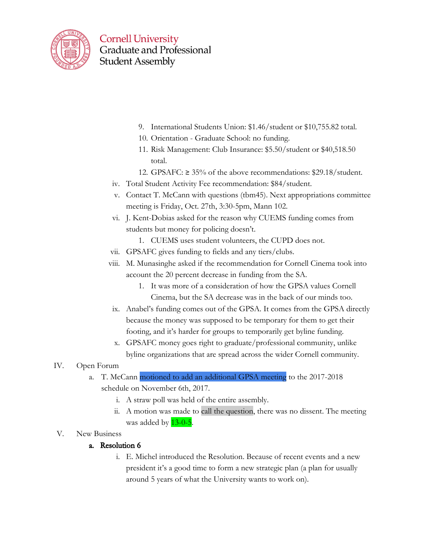

**Cornell University Graduate and Professional Student Assembly** 

- 9. International Students Union: \$1.46/student or \$10,755.82 total.
- 10. Orientation Graduate School: no funding.
- 11. Risk Management: Club Insurance: \$5.50/student or \$40,518.50 total.
- 12. GPSAFC: ≥ 35% of the above recommendations: \$29.18/student.
- iv. Total Student Activity Fee recommendation: \$84/student.
- v. Contact T. McCann with questions (tbm45). Next appropriations committee meeting is Friday, Oct. 27th, 3:30-5pm, Mann 102.
- vi. J. Kent-Dobias asked for the reason why CUEMS funding comes from students but money for policing doesn't.
	- 1. CUEMS uses student volunteers, the CUPD does not.
- vii. GPSAFC gives funding to fields and any tiers/clubs.
- viii. M. Munasinghe asked if the recommendation for Cornell Cinema took into account the 20 percent decrease in funding from the SA.
	- 1. It was more of a consideration of how the GPSA values Cornell Cinema, but the SA decrease was in the back of our minds too.
- ix. Anabel's funding comes out of the GPSA. It comes from the GPSA directly because the money was supposed to be temporary for them to get their footing, and it's harder for groups to temporarily get byline funding.
- x. GPSAFC money goes right to graduate/professional community, unlike byline organizations that are spread across the wider Cornell community.

# IV. Open Forum

- a. T. McCann motioned to add an additional GPSA meeting to the 2017-2018 schedule on November 6th, 2017.
	- i. A straw poll was held of the entire assembly.
	- ii. A motion was made to call the question, there was no dissent. The meeting was added by  $13-0-5$ .
- V. New Business

# a. Resolution 6

i. E. Michel introduced the Resolution. Because of recent events and a new president it's a good time to form a new strategic plan (a plan for usually around 5 years of what the University wants to work on).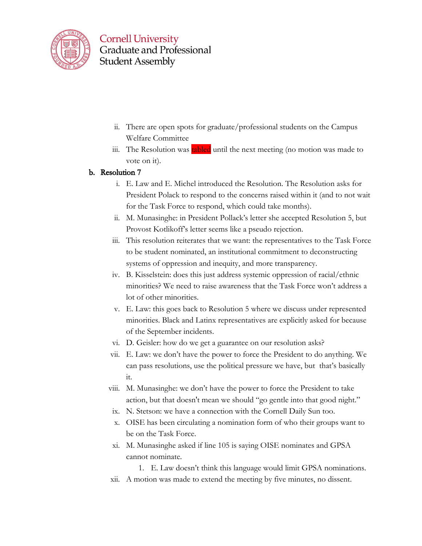

- ii. There are open spots for graduate/professional students on the Campus Welfare Committee
- iii. The Resolution was tabled until the next meeting (no motion was made to vote on it).

### b. Resolution 7

- i. E. Law and E. Michel introduced the Resolution. The Resolution asks for President Polack to respond to the concerns raised within it (and to not wait for the Task Force to respond, which could take months).
- ii. M. Munasinghe: in President Pollack's letter she accepted Resolution 5, but Provost Kotlikoff's letter seems like a pseudo rejection.
- iii. This resolution reiterates that we want: the representatives to the Task Force to be student nominated, an institutional commitment to deconstructing systems of oppression and inequity, and more transparency.
- iv. B. Kisselstein: does this just address systemic oppression of racial/ethnic minorities? We need to raise awareness that the Task Force won't address a lot of other minorities.
- v. E. Law: this goes back to Resolution 5 where we discuss under represented minorities. Black and Latinx representatives are explicitly asked for because of the September incidents.
- vi. D. Geisler: how do we get a guarantee on our resolution asks?
- vii. E. Law: we don't have the power to force the President to do anything. We can pass resolutions, use the political pressure we have, but that's basically it.
- viii. M. Munasinghe: we don't have the power to force the President to take action, but that doesn't mean we should "go gentle into that good night."
- ix. N. Stetson: we have a connection with the Cornell Daily Sun too.
- x. OISE has been circulating a nomination form of who their groups want to be on the Task Force.
- xi. M. Munasinghe asked if line 105 is saying OISE nominates and GPSA cannot nominate.

1. E. Law doesn't think this language would limit GPSA nominations.

xii. A motion was made to extend the meeting by five minutes, no dissent.